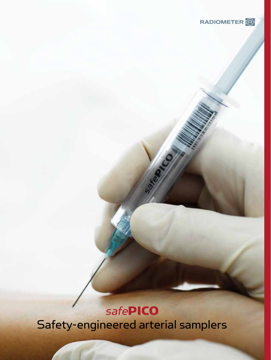

# **safePICO**

Safety-engineered arterial samplers